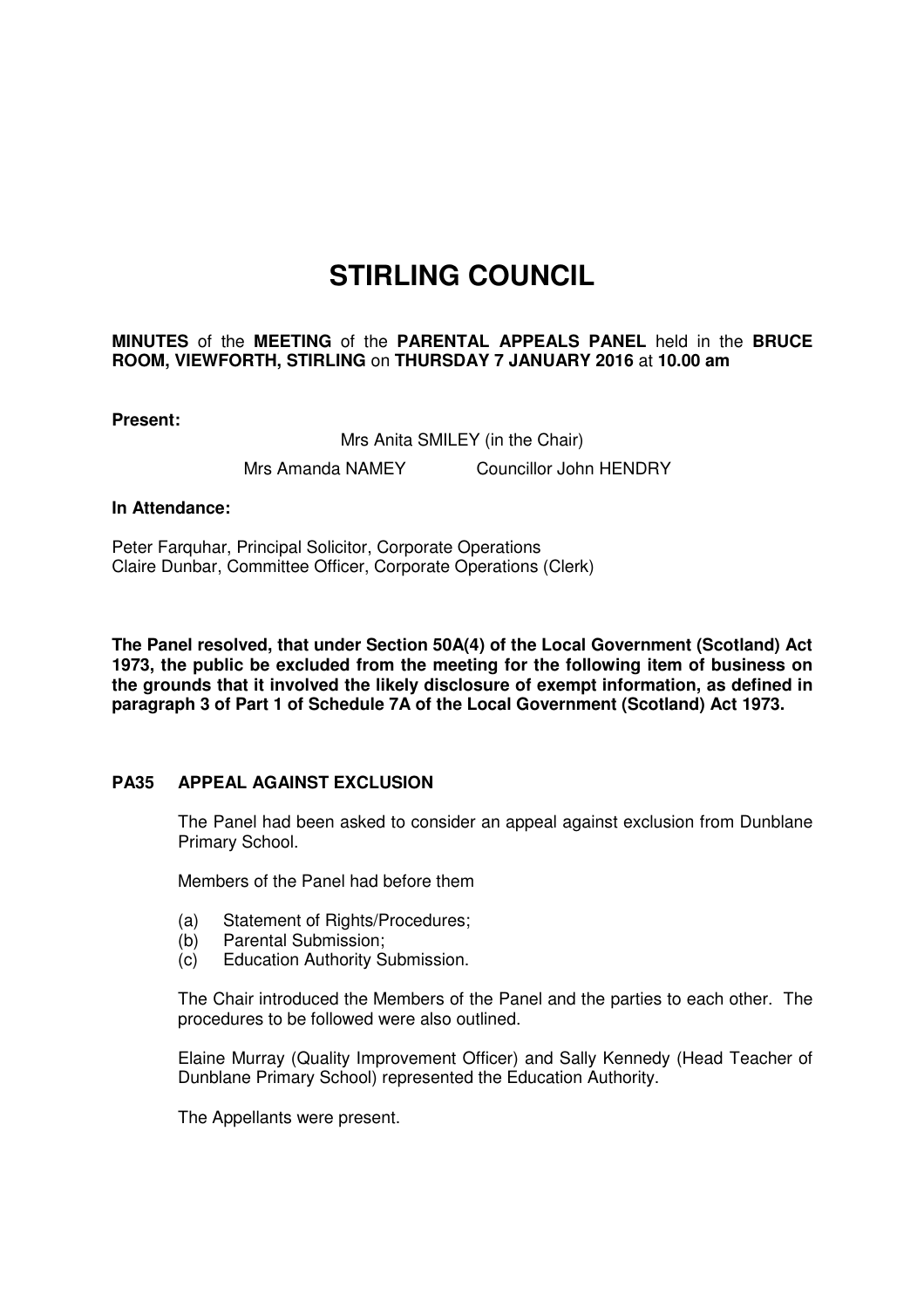# **STIRLING COUNCIL**

# **MINUTES** of the **MEETING** of the **PARENTAL APPEALS PANEL** held in the **BRUCE ROOM, VIEWFORTH, STIRLING** on **THURSDAY 7 JANUARY 2016** at **10.00 am**

**Present:** 

Mrs Anita SMILEY (in the Chair) Mrs Amanda NAMEY Councillor John HENDRY

### **In Attendance:**

Peter Farquhar, Principal Solicitor, Corporate Operations Claire Dunbar, Committee Officer, Corporate Operations (Clerk)

**The Panel resolved, that under Section 50A(4) of the Local Government (Scotland) Act 1973, the public be excluded from the meeting for the following item of business on the grounds that it involved the likely disclosure of exempt information, as defined in paragraph 3 of Part 1 of Schedule 7A of the Local Government (Scotland) Act 1973.** 

## **[PA35 APPEAL AGAINST EXCLUSION](/forms/request.htm)**

The Panel had been asked to consider an appeal against exclusion from Dunblane Primary School.

Members of the Panel had before them

- (a) Statement of Rights/Procedures:
- (b) Parental Submission;
- (c) Education Authority Submission.

The Chair introduced the Members of the Panel and the parties to each other. The procedures to be followed were also outlined.

Elaine Murray (Quality Improvement Officer) and Sally Kennedy (Head Teacher of Dunblane Primary School) represented the Education Authority.

The Appellants were present.